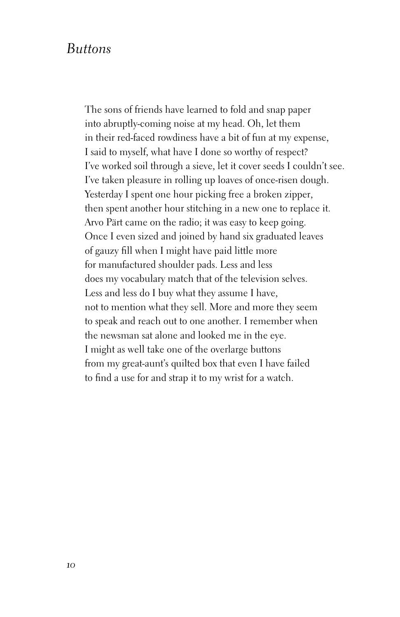## *Buttons*

The sons of friends have learned to fold and snap paper into abruptly-coming noise at my head. Oh, let them in their red-faced rowdiness have a bit of fun at my expense, I said to myself, what have I done so worthy of respect? I've worked soil through a sieve, let it cover seeds I couldn't see. I've taken pleasure in rolling up loaves of once-risen dough. Yesterday I spent one hour picking free a broken zipper, then spent another hour stitching in a new one to replace it. Arvo Pärt came on the radio; it was easy to keep going. Once I even sized and joined by hand six graduated leaves of gauzy fill when I might have paid little more for manufactured shoulder pads. Less and less does my vocabulary match that of the television selves. Less and less do I buy what they assume I have, not to mention what they sell. More and more they seem to speak and reach out to one another. I remember when the newsman sat alone and looked me in the eye. I might as well take one of the overlarge buttons from my great-aunt's quilted box that even I have failed to find a use for and strap it to my wrist for a watch.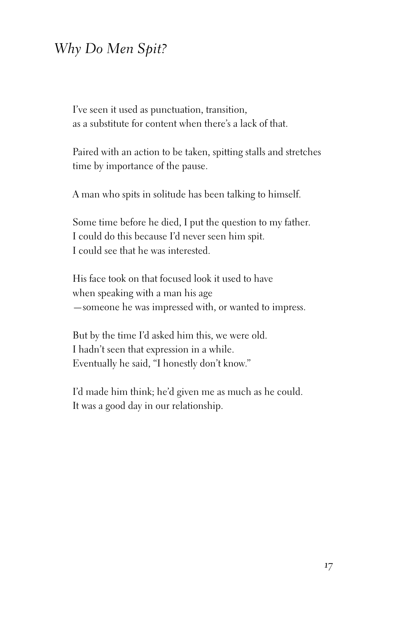## *Why Do Men Spit?*

I've seen it used as punctuation, transition, as a substitute for content when there's a lack of that.

Paired with an action to be taken, spitting stalls and stretches time by importance of the pause.

A man who spits in solitude has been talking to himself.

Some time before he died, I put the question to my father. I could do this because I'd never seen him spit. I could see that he was interested.

His face took on that focused look it used to have when speaking with a man his age —someone he was impressed with, or wanted to impress.

But by the time I'd asked him this, we were old. I hadn't seen that expression in a while. Eventually he said, "I honestly don't know."

I'd made him think; he'd given me as much as he could. It was a good day in our relationship.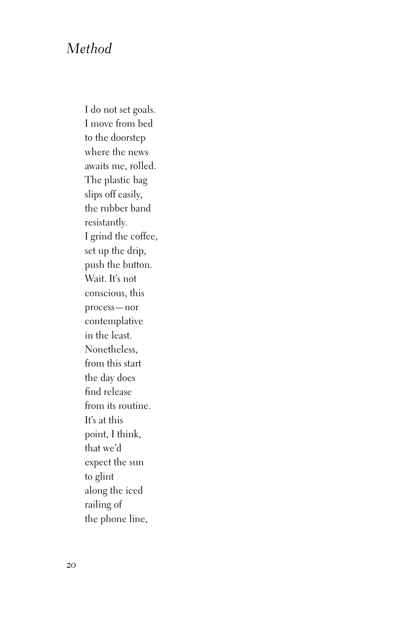## *Method*

I do not set goals. I move from bed to the doorstep where the news awaits me, rolled. The plastic bag slips off easily, the rubber band resistantly. I grind the coffee, set up the drip, push the button. Wait. It's not conscious, this process—nor contemplative in the least. Nonetheless, from this start the day does find release from its routine. It's at this point, I think, that we'd expect the sun to glint along the iced railing of the phone line,